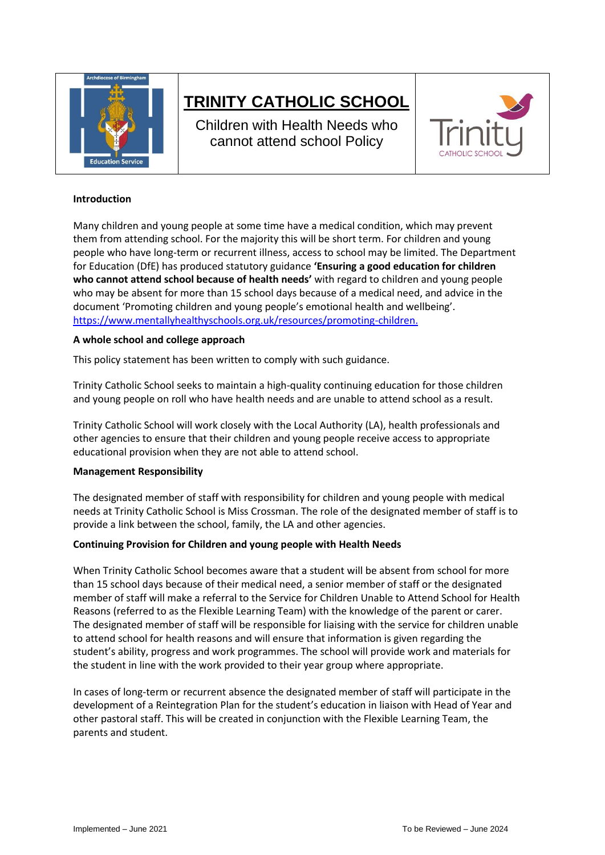

# **TRINITY CATHOLIC SCHOOL**

Children with Health Needs who cannot attend school Policy



#### **Introduction**

Many children and young people at some time have a medical condition, which may prevent them from attending school. For the majority this will be short term. For children and young people who have long-term or recurrent illness, access to school may be limited. The Department for Education (DfE) has produced statutory guidance **'Ensuring a good education for children who cannot attend school because of health needs'** with regard to children and young people who may be absent for more than 15 school days because of a medical need, and advice in the document 'Promoting children and young people's emotional health and wellbeing'. <https://www.mentallyhealthyschools.org.uk/resources/promoting-children.>

## **A whole school and college approach**

This policy statement has been written to comply with such guidance.

Trinity Catholic School seeks to maintain a high-quality continuing education for those children and young people on roll who have health needs and are unable to attend school as a result.

Trinity Catholic School will work closely with the Local Authority (LA), health professionals and other agencies to ensure that their children and young people receive access to appropriate educational provision when they are not able to attend school.

#### **Management Responsibility**

The designated member of staff with responsibility for children and young people with medical needs at Trinity Catholic School is Miss Crossman. The role of the designated member of staff is to provide a link between the school, family, the LA and other agencies.

#### **Continuing Provision for Children and young people with Health Needs**

When Trinity Catholic School becomes aware that a student will be absent from school for more than 15 school days because of their medical need, a senior member of staff or the designated member of staff will make a referral to the Service for Children Unable to Attend School for Health Reasons (referred to as the Flexible Learning Team) with the knowledge of the parent or carer. The designated member of staff will be responsible for liaising with the service for children unable to attend school for health reasons and will ensure that information is given regarding the student's ability, progress and work programmes. The school will provide work and materials for the student in line with the work provided to their year group where appropriate.

In cases of long-term or recurrent absence the designated member of staff will participate in the development of a Reintegration Plan for the student's education in liaison with Head of Year and other pastoral staff. This will be created in conjunction with the Flexible Learning Team, the parents and student.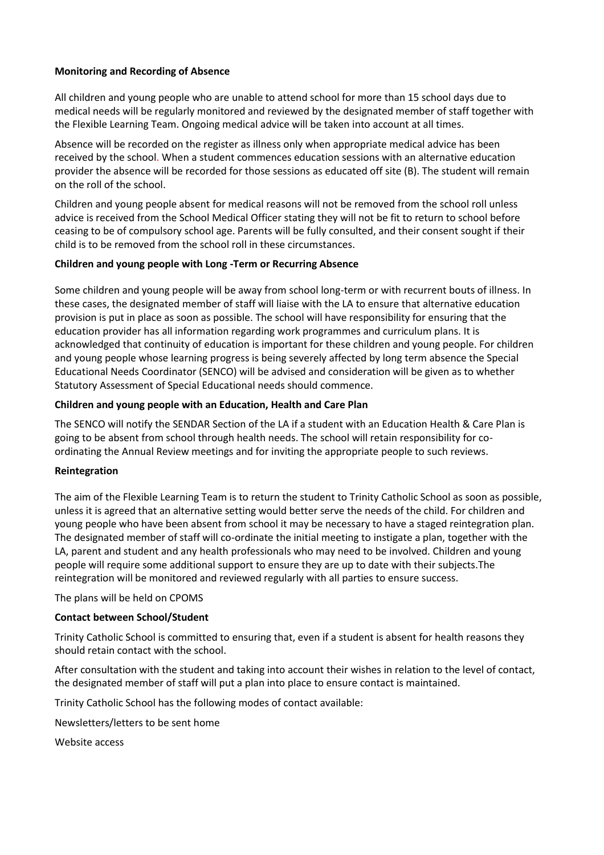## **Monitoring and Recording of Absence**

All children and young people who are unable to attend school for more than 15 school days due to medical needs will be regularly monitored and reviewed by the designated member of staff together with the Flexible Learning Team. Ongoing medical advice will be taken into account at all times.

Absence will be recorded on the register as illness only when appropriate medical advice has been received by the school. When a student commences education sessions with an alternative education provider the absence will be recorded for those sessions as educated off site (B). The student will remain on the roll of the school.

Children and young people absent for medical reasons will not be removed from the school roll unless advice is received from the School Medical Officer stating they will not be fit to return to school before ceasing to be of compulsory school age. Parents will be fully consulted, and their consent sought if their child is to be removed from the school roll in these circumstances.

## **Children and young people with Long -Term or Recurring Absence**

Some children and young people will be away from school long-term or with recurrent bouts of illness. In these cases, the designated member of staff will liaise with the LA to ensure that alternative education provision is put in place as soon as possible. The school will have responsibility for ensuring that the education provider has all information regarding work programmes and curriculum plans. It is acknowledged that continuity of education is important for these children and young people. For children and young people whose learning progress is being severely affected by long term absence the Special Educational Needs Coordinator (SENCO) will be advised and consideration will be given as to whether Statutory Assessment of Special Educational needs should commence.

## **Children and young people with an Education, Health and Care Plan**

The SENCO will notify the SENDAR Section of the LA if a student with an Education Health & Care Plan is going to be absent from school through health needs. The school will retain responsibility for coordinating the Annual Review meetings and for inviting the appropriate people to such reviews.

#### **Reintegration**

The aim of the Flexible Learning Team is to return the student to Trinity Catholic School as soon as possible, unless it is agreed that an alternative setting would better serve the needs of the child. For children and young people who have been absent from school it may be necessary to have a staged reintegration plan. The designated member of staff will co-ordinate the initial meeting to instigate a plan, together with the LA, parent and student and any health professionals who may need to be involved. Children and young people will require some additional support to ensure they are up to date with their subjects.The reintegration will be monitored and reviewed regularly with all parties to ensure success.

The plans will be held on CPOMS

# **Contact between School/Student**

Trinity Catholic School is committed to ensuring that, even if a student is absent for health reasons they should retain contact with the school.

After consultation with the student and taking into account their wishes in relation to the level of contact, the designated member of staff will put a plan into place to ensure contact is maintained.

Trinity Catholic School has the following modes of contact available:

Newsletters/letters to be sent home

Website access